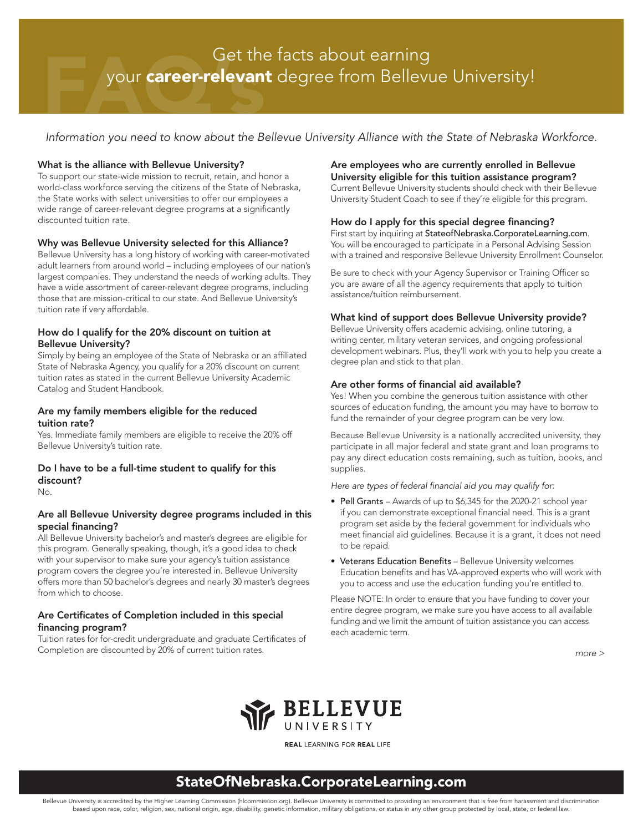# Get the facts about earning your career-relevant degree from Bellevue University!

*Information you need to know about the Bellevue University Alliance with the State of Nebraska Workforce.*

### What is the alliance with Bellevue University?

To support our state-wide mission to recruit, retain, and honor a world-class workforce serving the citizens of the State of Nebraska, the State works with select universities to offer our employees a wide range of career-relevant degree programs at a significantly discounted tuition rate.

### Why was Bellevue University selected for this Alliance?

Bellevue University has a long history of working with career-motivated adult learners from around world – including employees of our nation's largest companies. They understand the needs of working adults. They have a wide assortment of career-relevant degree programs, including those that are mission-critical to our state. And Bellevue University's tuition rate if very affordable.

### How do I qualify for the 20% discount on tuition at Bellevue University?

Simply by being an employee of the State of Nebraska or an affiliated State of Nebraska Agency, you qualify for a 20% discount on current tuition rates as stated in the current Bellevue University Academic Catalog and Student Handbook.

### Are my family members eligible for the reduced tuition rate?

Yes. Immediate family members are eligible to receive the 20% off Bellevue University's tuition rate.

### Do I have to be a full-time student to qualify for this discount?

No.

### Are all Bellevue University degree programs included in this special financing?

All Bellevue University bachelor's and master's degrees are eligible for this program. Generally speaking, though, it's a good idea to check with your supervisor to make sure your agency's tuition assistance program covers the degree you're interested in. Bellevue University offers more than 50 bachelor's degrees and nearly 30 master's degrees from which to choose.

### Are Certificates of Completion included in this special financing program?

Tuition rates for for-credit undergraduate and graduate Certificates of Completion are discounted by 20% of current tuition rates.

#### Are employees who are currently enrolled in Bellevue University eligible for this tuition assistance program?

Current Bellevue University students should check with their Bellevue University Student Coach to see if they're eligible for this program.

### How do I apply for this special degree financing?

First start by inquiring at StateofNebraska.CorporateLearning.com. You will be encouraged to participate in a Personal Advising Session with a trained and responsive Bellevue University Enrollment Counselor.

Be sure to check with your Agency Supervisor or Training Officer so you are aware of all the agency requirements that apply to tuition assistance/tuition reimbursement.

### What kind of support does Bellevue University provide?

Bellevue University offers academic advising, online tutoring, a writing center, military veteran services, and ongoing professional development webinars. Plus, they'll work with you to help you create a degree plan and stick to that plan.

### Are other forms of financial aid available?

Yes! When you combine the generous tuition assistance with other sources of education funding, the amount you may have to borrow to fund the remainder of your degree program can be very low.

Because Bellevue University is a nationally accredited university, they participate in all major federal and state grant and loan programs to pay any direct education costs remaining, such as tuition, books, and supplies.

*Here are types of federal financial aid you may qualify for:*

- Pell Grants Awards of up to \$6,345 for the 2020-21 school year if you can demonstrate exceptional financial need. This is a grant program set aside by the federal government for individuals who meet financial aid guidelines. Because it is a grant, it does not need to be repaid.
- Veterans Education Benefits Bellevue University welcomes Education benefits and has VA-approved experts who will work with you to access and use the education funding you're entitled to.

Please NOTE: In order to ensure that you have funding to cover your entire degree program, we make sure you have access to all available funding and we limit the amount of tuition assistance you can access each academic term.

*more >*



**REAL LEARNING FOR REAL LIFE** 

## StateOfNebraska.CorporateLearning.com

Bellevue University is accredited by the Higher Learning Commission (hlcommission.org). Bellevue University is committed to providing an environment that is free from harassment and discrimination based upon race, color, religion, sex, national origin, age, disability, genetic information, military obligations, or status in any other group protected by local, state, or federal law